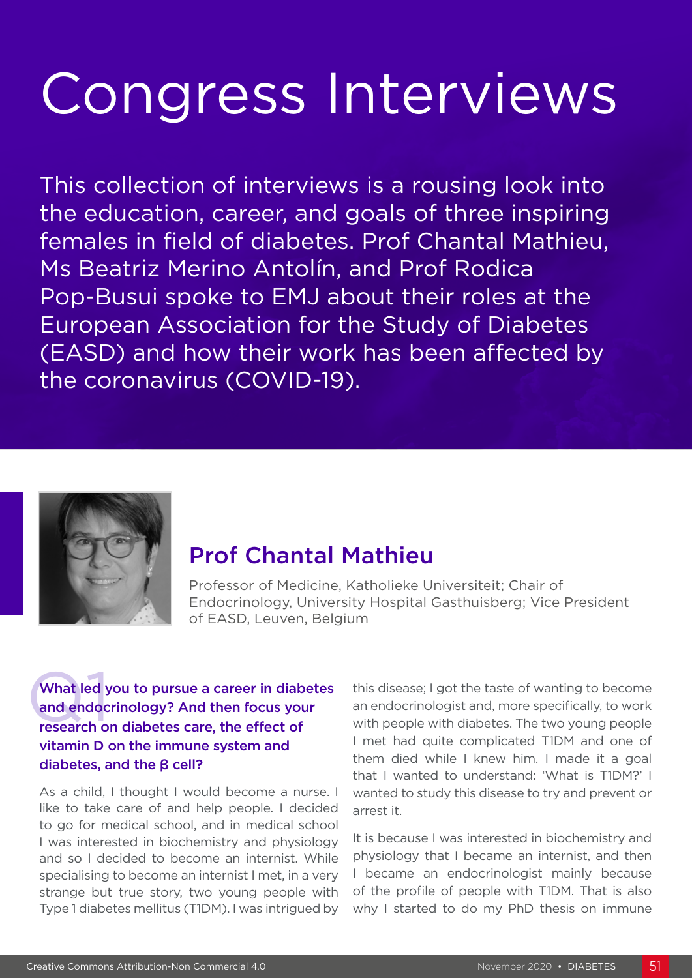# Congress Interviews

This collection of interviews is a rousing look into the education, career, and goals of three inspiring females in field of diabetes. Prof Chantal Mathieu, Ms Beatriz Merino Antolín, and Prof Rodica Pop-Busui spoke to EMJ about their roles at the European Association for the Study of Diabetes (EASD) and how their work has been affected by the coronavirus (COVID-19).



## Prof Chantal Mathieu

Professor of Medicine, Katholieke Universiteit; Chair of Endocrinology, University Hospital Gasthuisberg; Vice President of EASD, Leuven, Belgium

#### What led you to pursue a career in diabetes and endocrinology? And then focus your research on diabetes care, the effect of vitamin D on the immune system and diabetes, and the β cell?

As a child, I thought I would become a nurse. I like to take care of and help people. I decided to go for medical school, and in medical school I was interested in biochemistry and physiology and so I decided to become an internist. While specialising to become an internist I met, in a very strange but true story, two young people with Type 1 diabetes mellitus (T1DM). I was intrigued by

this disease; I got the taste of wanting to become an endocrinologist and, more specifically, to work with people with diabetes. The two young people I met had quite complicated T1DM and one of them died while I knew him. I made it a goal that I wanted to understand: 'What is T1DM?' I wanted to study this disease to try and prevent or arrest it.

It is because I was interested in biochemistry and physiology that I became an internist, and then I became an endocrinologist mainly because of the profile of people with T1DM. That is also why I started to do my PhD thesis on immune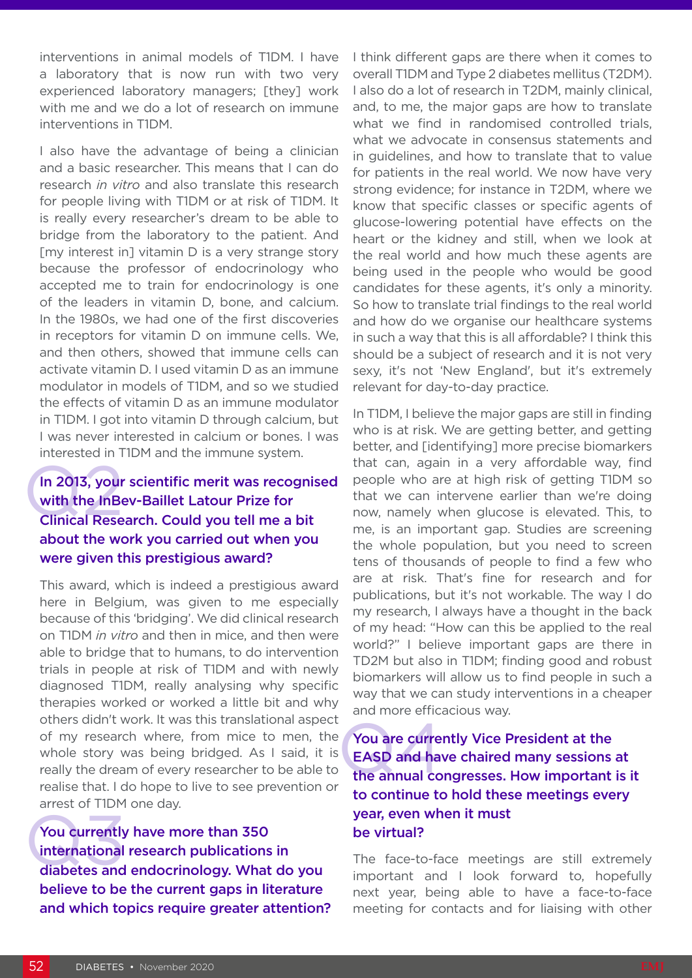interventions in animal models of T1DM. I have a laboratory that is now run with two very experienced laboratory managers; [they] work with me and we do a lot of research on immune interventions in T1DM.

I also have the advantage of being a clinician and a basic researcher. This means that I can do research *in vitro* and also translate this research for people living with T1DM or at risk of T1DM. It is really every researcher's dream to be able to bridge from the laboratory to the patient. And [my interest in] vitamin D is a very strange story because the professor of endocrinology who accepted me to train for endocrinology is one of the leaders in vitamin D, bone, and calcium. In the 1980s, we had one of the first discoveries in receptors for vitamin D on immune cells. We, and then others, showed that immune cells can activate vitamin D. I used vitamin D as an immune modulator in models of T1DM, and so we studied the effects of vitamin D as an immune modulator in T1DM. I got into vitamin D through calcium, but I was never interested in calcium or bones. I was interested in T1DM and the immune system.

#### In 2013, your<br>with the InBe<br>Clinical Rese In 2013, your scientific merit was recognised with the InBev-Baillet Latour Prize for Clinical Research. Could you tell me a bit about the work you carried out when you were given this prestigious award?

This award, which is indeed a prestigious award here in Belgium, was given to me especially because of this 'bridging'. We did clinical research on T1DM *in vitro* and then in mice, and then were able to bridge that to humans, to do intervention trials in people at risk of T1DM and with newly diagnosed T1DM, really analysing why specific therapies worked or worked a little bit and why others didn't work. It was this translational aspect of my research where, from mice to men, the whole story was being bridged. As I said, it is really the dream of every researcher to be able to realise that. I do hope to live to see prevention or arrest of T1DM one day.

You currently<br>international<br>diabetes and You currently have more than 350 international research publications in diabetes and endocrinology. What do you believe to be the current gaps in literature and which topics require greater attention? I think different gaps are there when it comes to overall T1DM and Type 2 diabetes mellitus (T2DM). I also do a lot of research in T2DM, mainly clinical, and, to me, the major gaps are how to translate what we find in randomised controlled trials. what we advocate in consensus statements and in guidelines, and how to translate that to value for patients in the real world. We now have very strong evidence; for instance in T2DM, where we know that specific classes or specific agents of glucose-lowering potential have effects on the heart or the kidney and still, when we look at the real world and how much these agents are being used in the people who would be good candidates for these agents, it's only a minority. So how to translate trial findings to the real world and how do we organise our healthcare systems in such a way that this is all affordable? I think this should be a subject of research and it is not very sexy, it's not 'New England', but it's extremely relevant for day-to-day practice.

In T1DM, I believe the major gaps are still in finding who is at risk. We are getting better, and getting better, and [identifying] more precise biomarkers that can, again in a very affordable way, find people who are at high risk of getting T1DM so that we can intervene earlier than we're doing now, namely when glucose is elevated. This, to me, is an important gap. Studies are screening the whole population, but you need to screen tens of thousands of people to find a few who are at risk. That's fine for research and for publications, but it's not workable. The way I do my research, I always have a thought in the back of my head: "How can this be applied to the real world?" I believe important gaps are there in TD2M but also in T1DM; finding good and robust biomarkers will allow us to find people in such a way that we can study interventions in a cheaper and more efficacious way.

### You are currently Vice President at the<br>EASD and have chaired many sessions at<br>the annual congresses. How important is it You are currently Vice President at the EASD and have chaired many sessions at to continue to hold these meetings every year, even when it must be virtual?

The face-to-face meetings are still extremely important and I look forward to, hopefully next year, being able to have a face-to-face meeting for contacts and for liaising with other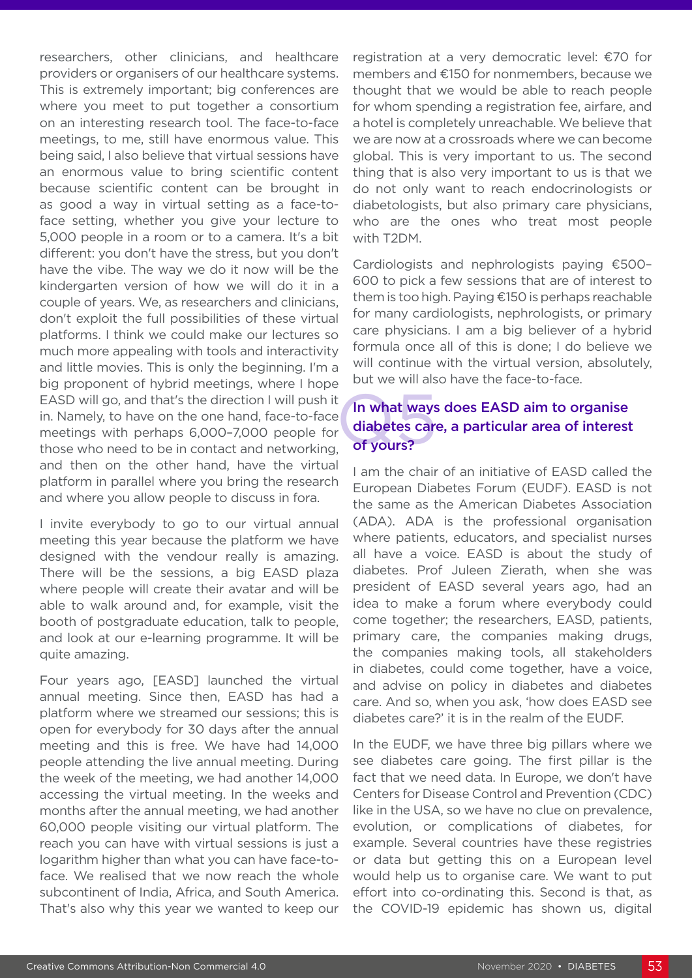researchers, other clinicians, and healthcare providers or organisers of our healthcare systems. This is extremely important; big conferences are where you meet to put together a consortium on an interesting research tool. The face-to-face meetings, to me, still have enormous value. This being said, I also believe that virtual sessions have an enormous value to bring scientific content because scientific content can be brought in as good a way in virtual setting as a face-toface setting, whether you give your lecture to 5,000 people in a room or to a camera. It's a bit different: you don't have the stress, but you don't have the vibe. The way we do it now will be the kindergarten version of how we will do it in a couple of years. We, as researchers and clinicians, don't exploit the full possibilities of these virtual platforms. I think we could make our lectures so much more appealing with tools and interactivity and little movies. This is only the beginning. I'm a big proponent of hybrid meetings, where I hope EASD will go, and that's the direction I will push it in. Namely, to have on the one hand, face-to-face meetings with perhaps 6,000–7,000 people for those who need to be in contact and networking, and then on the other hand, have the virtual platform in parallel where you bring the research and where you allow people to discuss in fora.

I invite everybody to go to our virtual annual meeting this year because the platform we have designed with the vendour really is amazing. There will be the sessions, a big EASD plaza where people will create their avatar and will be able to walk around and, for example, visit the booth of postgraduate education, talk to people, and look at our e-learning programme. It will be quite amazing.

Four years ago, [EASD] launched the virtual annual meeting. Since then, EASD has had a platform where we streamed our sessions; this is open for everybody for 30 days after the annual meeting and this is free. We have had 14,000 people attending the live annual meeting. During the week of the meeting, we had another 14,000 accessing the virtual meeting. In the weeks and months after the annual meeting, we had another 60,000 people visiting our virtual platform. The reach you can have with virtual sessions is just a logarithm higher than what you can have face-toface. We realised that we now reach the whole subcontinent of India, Africa, and South America. That's also why this year we wanted to keep our

registration at a very democratic level: €70 for members and €150 for nonmembers, because we thought that we would be able to reach people for whom spending a registration fee, airfare, and a hotel is completely unreachable. We believe that we are now at a crossroads where we can become global. This is very important to us. The second thing that is also very important to us is that we do not only want to reach endocrinologists or diabetologists, but also primary care physicians, who are the ones who treat most people with T2DM.

Cardiologists and nephrologists paying €500– 600 to pick a few sessions that are of interest to them is too high. Paying €150 is perhaps reachable for many cardiologists, nephrologists, or primary care physicians. I am a big believer of a hybrid formula once all of this is done; I do believe we will continue with the virtual version, absolutely, but we will also have the face-to-face.

#### In what ways<br>diabetes care<br>of yours? In what ways does EASD aim to organise diabetes care, a particular area of interest of yours?

I am the chair of an initiative of EASD called the European Diabetes Forum (EUDF). EASD is not the same as the American Diabetes Association (ADA). ADA is the professional organisation where patients, educators, and specialist nurses all have a voice. EASD is about the study of diabetes. Prof Juleen Zierath, when she was president of EASD several years ago, had an idea to make a forum where everybody could come together; the researchers, EASD, patients, primary care, the companies making drugs, the companies making tools, all stakeholders in diabetes, could come together, have a voice, and advise on policy in diabetes and diabetes care. And so, when you ask, 'how does EASD see diabetes care?' it is in the realm of the EUDF.

In the EUDF, we have three big pillars where we see diabetes care going. The first pillar is the fact that we need data. In Europe, we don't have Centers for Disease Control and Prevention (CDC) like in the USA, so we have no clue on prevalence, evolution, or complications of diabetes, for example. Several countries have these registries or data but getting this on a European level would help us to organise care. We want to put effort into co-ordinating this. Second is that, as the COVID-19 epidemic has shown us, digital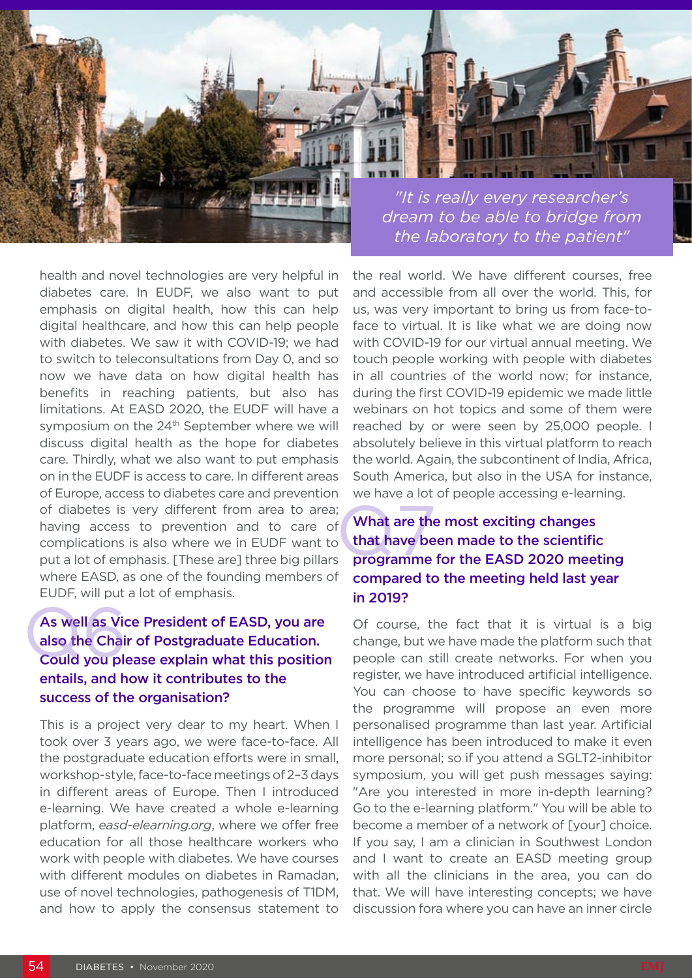

health and novel technologies are very helpful in diabetes care. In EUDF, we also want to put emphasis on digital health, how this can help digital healthcare, and how this can help people with diabetes. We saw it with COVID-19; we had to switch to teleconsultations from Day 0, and so now we have data on how digital health has benefits in reaching patients, but also has limitations. At EASD 2020, the EUDF will have a symposium on the 24<sup>th</sup> September where we will discuss digital health as the hope for diabetes care. Thirdly, what we also want to put emphasis on in the EUDF is access to care. In different areas of Europe, access to diabetes care and prevention of diabetes is very different from area to area; having access to prevention and to care of complications is also where we in EUDF want to put a lot of emphasis. [These are] three big pillars where EASD, as one of the founding members of EUDF, will put a lot of emphasis.

#### As well as Vice President of EASD, you are also the Chair of Postgraduate Education. Could you please explain what this position entails, and how it contributes to the success of the organisation? As well as Vio<br>also the Chai<br>Could you plo

This is a project very dear to my heart. When I took over 3 years ago, we were face-to-face. All the postgraduate education efforts were in small, workshop-style, face-to-face meetings of 2–3 days in different areas of Europe. Then I introduced e-learning. We have created a whole e-learning platform, *easd-elearning.org*, where we offer free education for all those healthcare workers who work with people with diabetes. We have courses with different modules on diabetes in Ramadan, use of novel technologies, pathogenesis of T1DM, and how to apply the consensus statement to

the real world. We have different courses, free and accessible from all over the world. This, for us, was very important to bring us from face-toface to virtual. It is like what we are doing now with COVID-19 for our virtual annual meeting. We touch people working with people with diabetes in all countries of the world now; for instance, during the first COVID-19 epidemic we made little webinars on hot topics and some of them were reached by or were seen by 25,000 people. I absolutely believe in this virtual platform to reach the world. Again, the subcontinent of India, Africa, South America, but also in the USA for instance, we have a lot of people accessing e-learning.

#### f<br>that have be<br>programme What are the most exciting changes that have been made to the scientific programme for the EASD 2020 meeting compared to the meeting held last year in 2019?

Of course, the fact that it is virtual is a big change, but we have made the platform such that people can still create networks. For when you register, we have introduced artificial intelligence. You can choose to have specific keywords so the programme will propose an even more personalised programme than last year. Artificial intelligence has been introduced to make it even more personal; so if you attend a SGLT2-inhibitor symposium, you will get push messages saying: "Are you interested in more in-depth learning? Go to the e-learning platform." You will be able to become a member of a network of [your] choice. If you say, I am a clinician in Southwest London and I want to create an EASD meeting group with all the clinicians in the area, you can do that. We will have interesting concepts; we have discussion fora where you can have an inner circle